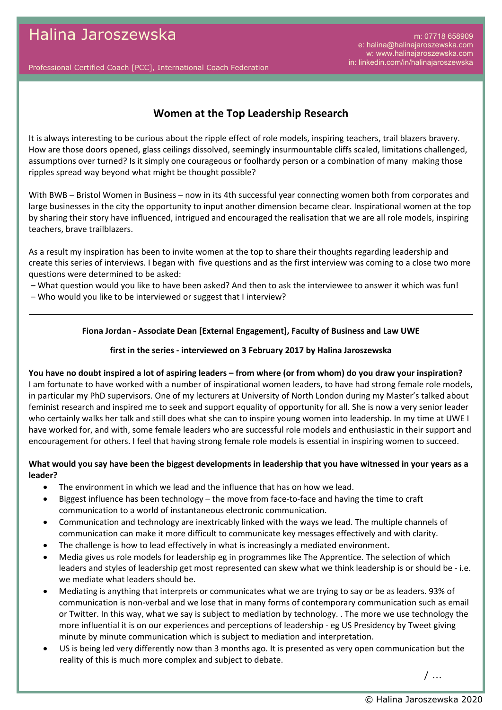m: 07718 658909 e: halina@halinajaroszewska.com w: www.halinajaroszewska.com in: linkedin.com/in/halinajaroszewska

Professional Certified Coach [PCC], International Coach Federation

# **Women at the Top Leadership Research**

It is always interesting to be curious about the ripple effect of role models, inspiring teachers, trail blazers bravery. How are those doors opened, glass ceilings dissolved, seemingly insurmountable cliffs scaled, limitations challenged, assumptions over turned? Is it simply one courageous or foolhardy person or a combination of many making those ripples spread way beyond what might be thought possible?

With BWB – Bristol Women in Business – now in its 4th successful year connecting women both from corporates and large businesses in the city the opportunity to input another dimension became clear. Inspirational women at the top by sharing their story have influenced, intrigued and encouraged the realisation that we are all role models, inspiring teachers, brave trailblazers.

As a result my inspiration has been to invite women at the top to share their thoughts regarding leadership and create this series of interviews. I began with five questions and as the first interview was coming to a close two more questions were determined to be asked:

- What question would you like to have been asked? And then to ask the interviewee to answer it which was fun!
- Who would you like to be interviewed or suggest that I interview?

### **Fiona Jordan - Associate Dean [External Engagement], Faculty of Business and Law UWE**

### **first in the series - interviewed on 3 February 2017 by Halina Jaroszewska**

### **You have no doubt inspired a lot of aspiring leaders – from where (or from whom) do you draw your inspiration?**

I am fortunate to have worked with a number of inspirational women leaders, to have had strong female role models, in particular my PhD supervisors. One of my lecturers at University of North London during my Master's talked about feminist research and inspired me to seek and support equality of opportunity for all. She is now a very senior leader who certainly walks her talk and still does what she can to inspire young women into leadership. In my time at UWE I have worked for, and with, some female leaders who are successful role models and enthusiastic in their support and encouragement for others. I feel that having strong female role models is essential in inspiring women to succeed.

### **What would you say have been the biggest developments in leadership that you have witnessed in your years as a leader?**

- · The environment in which we lead and the influence that has on how we lead.
- · Biggest influence has been technology the move from face-to-face and having the time to craft communication to a world of instantaneous electronic communication.
- · Communication and technology are inextricably linked with the ways we lead. The multiple channels of communication can make it more difficult to communicate key messages effectively and with clarity.
- The challenge is how to lead effectively in what is increasingly a mediated environment.
- · Media gives us role models for leadership eg in programmes like The Apprentice. The selection of which leaders and styles of leadership get most represented can skew what we think leadership is or should be - i.e. we mediate what leaders should be.
- · Mediating is anything that interprets or communicates what we are trying to say or be as leaders. 93% of communication is non-verbal and we lose that in many forms of contemporary communication such as email or Twitter. In this way, what we say is subject to mediation by technology. . The more we use technology the more influential it is on our experiences and perceptions of leadership - eg US Presidency by Tweet giving minute by minute communication which is subject to mediation and interpretation.
- US is being led very differently now than 3 months ago. It is presented as very open communication but the reality of this is much more complex and subject to debate.

/ ...